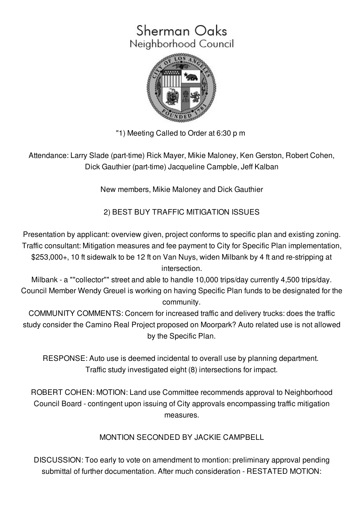# Sherman Oaks Neighborhood Council



"1) Meeting Called to Order at 6:30 p m

Attendance: Larry Slade (part-time) Rick Mayer, Mikie Maloney, Ken Gerston, Robert Cohen, Dick Gauthier (part-time) Jacqueline Campble, Jeff Kalban

New members, Mikie Maloney and Dick Gauthier

2) BEST BUY TRAFFIC MITIGATION ISSUES

Presentation by applicant: overview given, project conforms to specific plan and existing zoning. Traffic consultant: Mitigation measures and fee payment to City for Specific Plan implementation, \$253,000+, 10 ft sidewalk to be 12 ft on Van Nuys, widen Milbank by 4 ft and re-stripping at intersection.

Milbank - a ""collector"" street and able to handle 10,000 trips/day currently 4,500 trips/day. Council Member Wendy Greuel is working on having Specific Plan funds to be designated for the community.

COMMUNITY COMMENTS: Concern for increased traffic and delivery trucks: does the traffic study consider the Camino Real Project proposed on Moorpark? Auto related use is not allowed by the Specific Plan.

RESPONSE: Auto use is deemed incidental to overall use by planning department. Traffic study investigated eight (8) intersections for impact.

ROBERT COHEN: MOTION: Land use Committee recommends approval to Neighborhood Council Board - contingent upon issuing of City approvals encompassing traffic mitigation measures.

MONTION SECONDED BY JACKIE CAMPBELL

DISCUSSION: Too early to vote on amendment to montion: preliminary approval pending submittal of further documentation. After much consideration - RESTATED MOTION: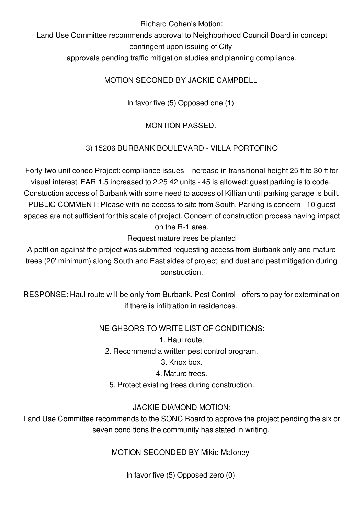Richard Cohen's Motion:

Land Use Committee recommends approval to Neighborhood Council Board in concept contingent upon issuing of City

approvals pending traffic mitigation studies and planning compliance.

MOTION SECONED BY JACKIE CAMPBELL

In favor five (5) Opposed one (1)

# MONTION PASSED.

# 3) 15206 BURBANK BOULEVARD - VILLA PORTOFINO

Forty-two unit condo Project: compliance issues - increase in transitional height 25 ft to 30 ft for visual interest. FAR 1.5 increased to 2.25 42 units - 45 is allowed: guest parking is to code. Constuction access of Burbank with some need to access of Killian until parking garage is built. PUBLIC COMMENT: Please with no access to site from South. Parking is concern - 10 guest spaces are not sufficient for this scale of project. Concern of construction process having impact on the R-1 area.

Request mature trees be planted

A petition against the project was submitted requesting access from Burbank only and mature trees (20' minimum) along South and East sides of project, and dust and pest mitigation during construction.

RESPONSE: Haul route will be only from Burbank. Pest Control - offers to pay for extermination if there is infiltration in residences.

NEIGHBORS TO WRITE LIST OF CONDITIONS:

1. Haul route,

2. Recommend a written pest control program.

3. Knox box.

4. Mature trees.

5. Protect existing trees during construction.

## JACKIE DIAMOND MOTION;

Land Use Committee recommends to the SONC Board to approve the project pending the six or seven conditions the community has stated in writing.

MOTION SECONDED BY Mikie Maloney

In favor five (5) Opposed zero (0)